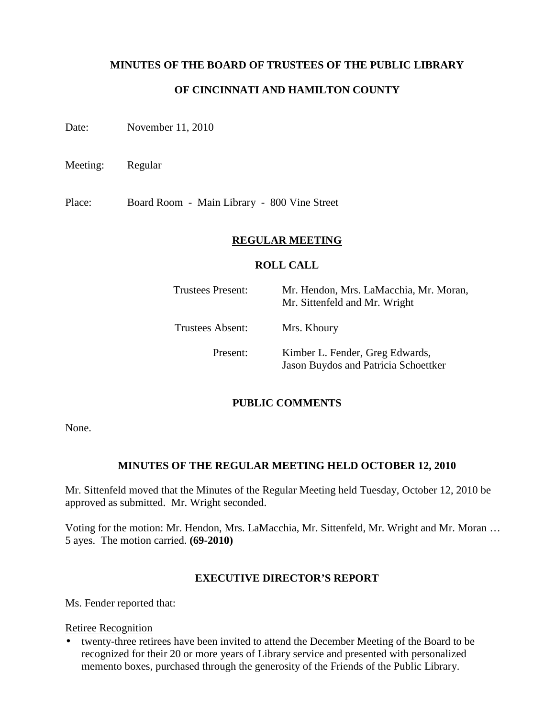#### **MINUTES OF THE BOARD OF TRUSTEES OF THE PUBLIC LIBRARY**

### **OF CINCINNATI AND HAMILTON COUNTY**

Date: November 11, 2010

Meeting: Regular

Place: Board Room - Main Library - 800 Vine Street

#### **REGULAR MEETING**

#### **ROLL CALL**

| Trustees Present: | Mr. Hendon, Mrs. LaMacchia, Mr. Moran,<br>Mr. Sittenfeld and Mr. Wright |
|-------------------|-------------------------------------------------------------------------|
| Trustees Absent:  | Mrs. Khoury                                                             |
| Present:          | Kimber L. Fender, Greg Edwards,<br>Jason Buydos and Patricia Schoettker |

#### **PUBLIC COMMENTS**

None.

### **MINUTES OF THE REGULAR MEETING HELD OCTOBER 12, 2010**

Mr. Sittenfeld moved that the Minutes of the Regular Meeting held Tuesday, October 12, 2010 be approved as submitted. Mr. Wright seconded.

Voting for the motion: Mr. Hendon, Mrs. LaMacchia, Mr. Sittenfeld, Mr. Wright and Mr. Moran … 5 ayes. The motion carried. **(69-2010)**

#### **EXECUTIVE DIRECTOR'S REPORT**

Ms. Fender reported that:

#### Retiree Recognition

• twenty-three retirees have been invited to attend the December Meeting of the Board to be recognized for their 20 or more years of Library service and presented with personalized memento boxes, purchased through the generosity of the Friends of the Public Library.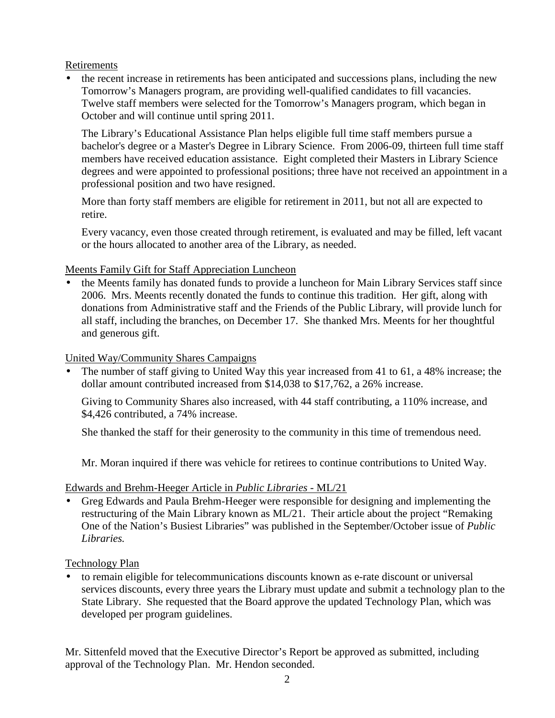Retirements

• the recent increase in retirements has been anticipated and successions plans, including the new Tomorrow's Managers program, are providing well-qualified candidates to fill vacancies. Twelve staff members were selected for the Tomorrow's Managers program, which began in October and will continue until spring 2011.

The Library's Educational Assistance Plan helps eligible full time staff members pursue a bachelor's degree or a Master's Degree in Library Science. From 2006-09, thirteen full time staff members have received education assistance. Eight completed their Masters in Library Science degrees and were appointed to professional positions; three have not received an appointment in a professional position and two have resigned.

More than forty staff members are eligible for retirement in 2011, but not all are expected to retire.

Every vacancy, even those created through retirement, is evaluated and may be filled, left vacant or the hours allocated to another area of the Library, as needed.

### Meents Family Gift for Staff Appreciation Luncheon

• the Meents family has donated funds to provide a luncheon for Main Library Services staff since 2006. Mrs. Meents recently donated the funds to continue this tradition. Her gift, along with donations from Administrative staff and the Friends of the Public Library, will provide lunch for all staff, including the branches, on December 17. She thanked Mrs. Meents for her thoughtful and generous gift.

## United Way/Community Shares Campaigns

The number of staff giving to United Way this year increased from 41 to 61, a 48% increase; the dollar amount contributed increased from \$14,038 to \$17,762, a 26% increase.

Giving to Community Shares also increased, with 44 staff contributing, a 110% increase, and \$4,426 contributed, a 74% increase.

She thanked the staff for their generosity to the community in this time of tremendous need.

Mr. Moran inquired if there was vehicle for retirees to continue contributions to United Way.

### Edwards and Brehm-Heeger Article in *Public Libraries* - ML/21

• Greg Edwards and Paula Brehm-Heeger were responsible for designing and implementing the restructuring of the Main Library known as ML/21. Their article about the project "Remaking One of the Nation's Busiest Libraries" was published in the September/October issue of *Public Libraries.*

### Technology Plan

• to remain eligible for telecommunications discounts known as e-rate discount or universal services discounts, every three years the Library must update and submit a technology plan to the State Library. She requested that the Board approve the updated Technology Plan, which was developed per program guidelines.

Mr. Sittenfeld moved that the Executive Director's Report be approved as submitted, including approval of the Technology Plan. Mr. Hendon seconded.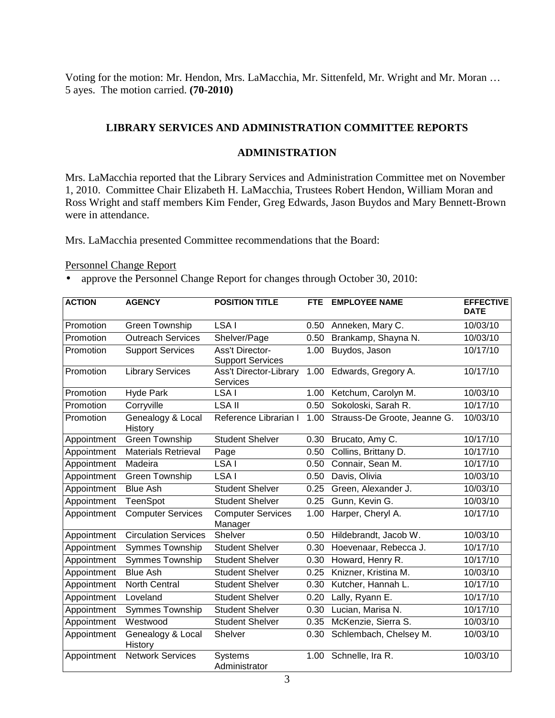Voting for the motion: Mr. Hendon, Mrs. LaMacchia, Mr. Sittenfeld, Mr. Wright and Mr. Moran … 5 ayes. The motion carried. **(70-2010)**

## **LIBRARY SERVICES AND ADMINISTRATION COMMITTEE REPORTS**

### **ADMINISTRATION**

Mrs. LaMacchia reported that the Library Services and Administration Committee met on November 1, 2010. Committee Chair Elizabeth H. LaMacchia, Trustees Robert Hendon, William Moran and Ross Wright and staff members Kim Fender, Greg Edwards, Jason Buydos and Mary Bennett-Brown were in attendance.

Mrs. LaMacchia presented Committee recommendations that the Board:

#### Personnel Change Report

• approve the Personnel Change Report for changes through October 30, 2010:

| <b>ACTION</b> | <b>AGENCY</b>                | <b>POSITION TITLE</b>                             | FTE. | <b>EMPLOYEE NAME</b>         | <b>EFFECTIVE</b><br><b>DATE</b> |
|---------------|------------------------------|---------------------------------------------------|------|------------------------------|---------------------------------|
| Promotion     | <b>Green Township</b>        | LSA I                                             | 0.50 | Anneken, Mary C.             | $\frac{10}{03/10}$              |
| Promotion     | <b>Outreach Services</b>     | Shelver/Page                                      | 0.50 | Brankamp, Shayna N.          | 10/03/10                        |
| Promotion     | <b>Support Services</b>      | <b>Ass't Director-</b><br><b>Support Services</b> | 1.00 | Buydos, Jason                | 10/17/10                        |
| Promotion     | <b>Library Services</b>      | <b>Ass't Director-Library</b><br>Services         | 1.00 | Edwards, Gregory A.          | 10/17/10                        |
| Promotion     | <b>Hyde Park</b>             | LSA I                                             | 1.00 | Ketchum, Carolyn M.          | 10/03/10                        |
| Promotion     | Corryville                   | <b>LSA II</b>                                     | 0.50 | Sokoloski, Sarah R.          | 10/17/10                        |
| Promotion     | Genealogy & Local<br>History | Reference Librarian I                             | 1.00 | Strauss-De Groote, Jeanne G. | 10/03/10                        |
| Appointment   | Green Township               | <b>Student Shelver</b>                            | 0.30 | Brucato, Amy C.              | 10/17/10                        |
| Appointment   | <b>Materials Retrieval</b>   | Page                                              | 0.50 | Collins, Brittany D.         | 10/17/10                        |
| Appointment   | Madeira                      | LSA I                                             | 0.50 | Connair, Sean M.             | 10/17/10                        |
| Appointment   | <b>Green Township</b>        | LSA I                                             | 0.50 | Davis, Olivia                | 10/03/10                        |
| Appointment   | <b>Blue Ash</b>              | <b>Student Shelver</b>                            | 0.25 | Green, Alexander J.          | 10/03/10                        |
| Appointment   | <b>TeenSpot</b>              | <b>Student Shelver</b>                            | 0.25 | Gunn, Kevin G.               | 10/03/10                        |
| Appointment   | <b>Computer Services</b>     | <b>Computer Services</b><br>Manager               | 1.00 | Harper, Cheryl A.            | 10/17/10                        |
| Appointment   | <b>Circulation Services</b>  | Shelver                                           | 0.50 | Hildebrandt, Jacob W.        | 10/03/10                        |
| Appointment   | <b>Symmes Township</b>       | <b>Student Shelver</b>                            | 0.30 | Hoevenaar, Rebecca J.        | 10/17/10                        |
| Appointment   | <b>Symmes Township</b>       | <b>Student Shelver</b>                            | 0.30 | Howard, Henry R.             | 10/17/10                        |
| Appointment   | <b>Blue Ash</b>              | <b>Student Shelver</b>                            | 0.25 | Knizner, Kristina M.         | 10/03/10                        |
| Appointment   | <b>North Central</b>         | <b>Student Shelver</b>                            | 0.30 | Kutcher, Hannah L.           | 10/17/10                        |
| Appointment   | Loveland                     | <b>Student Shelver</b>                            | 0.20 | Lally, Ryann E.              | 10/17/10                        |
| Appointment   | Symmes Township              | <b>Student Shelver</b>                            | 0.30 | Lucian, Marisa N.            | 10/17/10                        |
| Appointment   | Westwood                     | <b>Student Shelver</b>                            | 0.35 | McKenzie, Sierra S.          | 10/03/10                        |
| Appointment   | Genealogy & Local<br>History | Shelver                                           | 0.30 | Schlembach, Chelsey M.       | 10/03/10                        |
| Appointment   | <b>Network Services</b>      | <b>Systems</b><br>Administrator                   | 1.00 | Schnelle, Ira R.             | 10/03/10                        |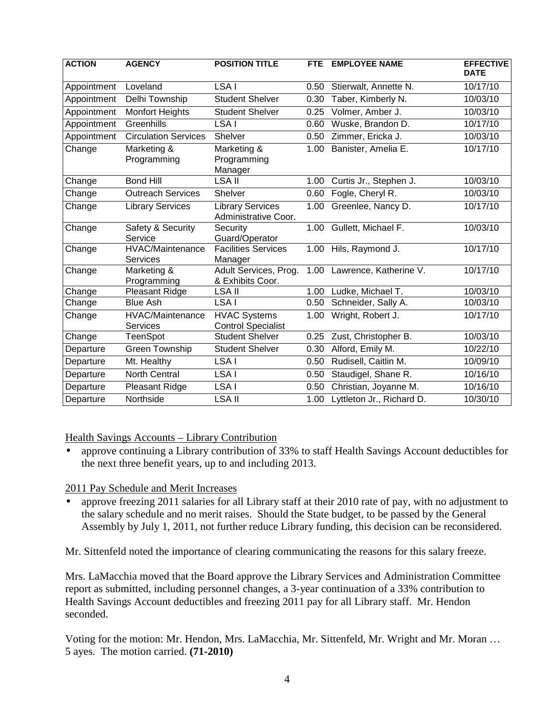| <b>ACTION</b> | <b>AGENCY</b>                       | <b>POSITION TITLE</b>                            | <b>FTE</b> | <b>EMPLOYEE NAME</b>      | <b>EFFECTIVE</b><br><b>DATE</b> |
|---------------|-------------------------------------|--------------------------------------------------|------------|---------------------------|---------------------------------|
| Appointment   | Loveland                            | LSA I                                            | 0.50       | Stierwalt, Annette N.     | $\frac{1}{10}$ /17/10           |
| Appointment   | Delhi Township                      | <b>Student Shelver</b>                           | 0.30       | Taber, Kimberly N.        | 10/03/10                        |
| Appointment   | <b>Monfort Heights</b>              | <b>Student Shelver</b>                           | 0.25       | Volmer, Amber J.          | 10/03/10                        |
| Appointment   | Greenhills                          | LSA I                                            | 0.60       | Wuske, Brandon D.         | 10/17/10                        |
| Appointment   | <b>Circulation Services</b>         | Shelver                                          | 0.50       | Zimmer, Ericka J.         | 10/03/10                        |
| Change        | Marketing &<br>Programming          | Marketing &<br>Programming<br>Manager            | 1.00       | Banister, Amelia E.       | 10/17/10                        |
| Change        | <b>Bond Hill</b>                    | <b>LSA II</b>                                    | 1.00       | Curtis Jr., Stephen J.    | 10/03/10                        |
| Change        | <b>Outreach Services</b>            | <b>Shelver</b>                                   | 0.60       | Fogle, Cheryl R.          | 10/03/10                        |
| Change        | <b>Library Services</b>             | <b>Library Services</b><br>Administrative Coor.  | 1.00       | Greenlee, Nancy D.        | 10/17/10                        |
| Change        | Safety & Security<br>Service        | Security<br>Guard/Operator                       | 1.00       | Gullett, Michael F.       | 10/03/10                        |
| Change        | HVAC/Maintenance<br><b>Services</b> | <b>Facilities Services</b><br>Manager            | 1.00       | Hils, Raymond J.          | 10/17/10                        |
| Change        | Marketing &<br>Programming          | Adult Services, Prog.<br>& Exhibits Coor.        | 1.00       | Lawrence, Katherine V.    | 10/17/10                        |
| Change        | <b>Pleasant Ridge</b>               | <b>LSA II</b>                                    | 1.00       | Ludke, Michael T.         | 10/03/10                        |
| Change        | <b>Blue Ash</b>                     | LSA I                                            | 0.50       | Schneider, Sally A.       | 10/03/10                        |
| Change        | HVAC/Maintenance<br><b>Services</b> | <b>HVAC Systems</b><br><b>Control Specialist</b> | 1.00       | Wright, Robert J.         | 10/17/10                        |
| Change        | TeenSpot                            | Student Shelver                                  | 0.25       | Zust, Christopher B.      | 10/03/10                        |
| Departure     | <b>Green Township</b>               | <b>Student Shelver</b>                           | 0.30       | Alford, Emily M.          | 10/22/10                        |
| Departure     | Mt. Healthy                         | LSA I                                            | 0.50       | Rudisell, Caitlin M.      | 10/09/10                        |
| Departure     | <b>North Central</b>                | LSA I                                            | 0.50       | Staudigel, Shane R.       | 10/16/10                        |
| Departure     | Pleasant Ridge                      | LSA I                                            | 0.50       | Christian, Joyanne M.     | 10/16/10                        |
| Departure     | Northside                           | <b>LSA II</b>                                    | 1.00       | Lyttleton Jr., Richard D. | 10/30/10                        |

Health Savings Accounts – Library Contribution

• approve continuing a Library contribution of 33% to staff Health Savings Account deductibles for the next three benefit years, up to and including 2013.

### 2011 Pay Schedule and Merit Increases

• approve freezing 2011 salaries for all Library staff at their 2010 rate of pay, with no adjustment to the salary schedule and no merit raises. Should the State budget, to be passed by the General Assembly by July 1, 2011, not further reduce Library funding, this decision can be reconsidered.

Mr. Sittenfeld noted the importance of clearing communicating the reasons for this salary freeze.

Mrs. LaMacchia moved that the Board approve the Library Services and Administration Committee report as submitted, including personnel changes, a 3-year continuation of a 33% contribution to Health Savings Account deductibles and freezing 2011 pay for all Library staff. Mr. Hendon seconded.

Voting for the motion: Mr. Hendon, Mrs. LaMacchia, Mr. Sittenfeld, Mr. Wright and Mr. Moran … 5 ayes. The motion carried. **(71-2010)**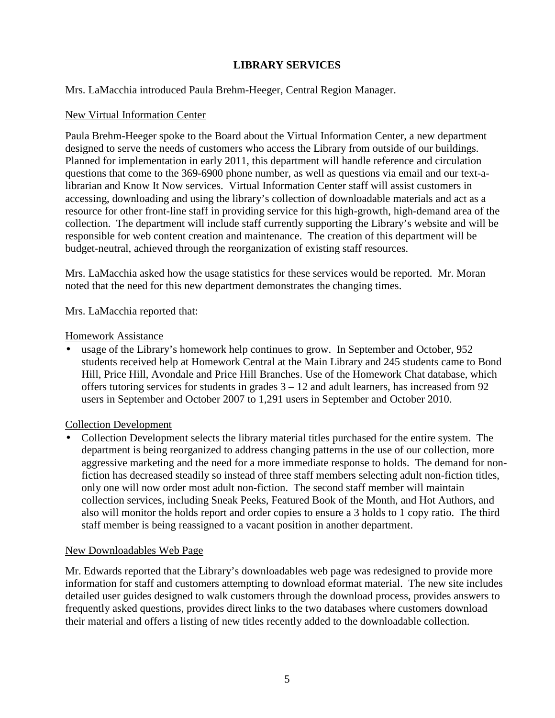## **LIBRARY SERVICES**

### Mrs. LaMacchia introduced Paula Brehm-Heeger, Central Region Manager.

#### New Virtual Information Center

Paula Brehm-Heeger spoke to the Board about the Virtual Information Center, a new department designed to serve the needs of customers who access the Library from outside of our buildings. Planned for implementation in early 2011, this department will handle reference and circulation questions that come to the 369-6900 phone number, as well as questions via email and our text-alibrarian and Know It Now services. Virtual Information Center staff will assist customers in accessing, downloading and using the library's collection of downloadable materials and act as a resource for other front-line staff in providing service for this high-growth, high-demand area of the collection. The department will include staff currently supporting the Library's website and will be responsible for web content creation and maintenance. The creation of this department will be budget-neutral, achieved through the reorganization of existing staff resources.

Mrs. LaMacchia asked how the usage statistics for these services would be reported. Mr. Moran noted that the need for this new department demonstrates the changing times.

Mrs. LaMacchia reported that:

#### Homework Assistance

• usage of the Library's homework help continues to grow. In September and October, 952 students received help at Homework Central at the Main Library and 245 students came to Bond Hill, Price Hill, Avondale and Price Hill Branches. Use of the Homework Chat database, which offers tutoring services for students in grades  $3 - 12$  and adult learners, has increased from 92 users in September and October 2007 to 1,291 users in September and October 2010.

#### Collection Development

• Collection Development selects the library material titles purchased for the entire system. The department is being reorganized to address changing patterns in the use of our collection, more aggressive marketing and the need for a more immediate response to holds. The demand for nonfiction has decreased steadily so instead of three staff members selecting adult non-fiction titles, only one will now order most adult non-fiction. The second staff member will maintain collection services, including Sneak Peeks, Featured Book of the Month, and Hot Authors, and also will monitor the holds report and order copies to ensure a 3 holds to 1 copy ratio. The third staff member is being reassigned to a vacant position in another department.

#### New Downloadables Web Page

Mr. Edwards reported that the Library's downloadables web page was redesigned to provide more information for staff and customers attempting to download eformat material. The new site includes detailed user guides designed to walk customers through the download process, provides answers to frequently asked questions, provides direct links to the two databases where customers download their material and offers a listing of new titles recently added to the downloadable collection.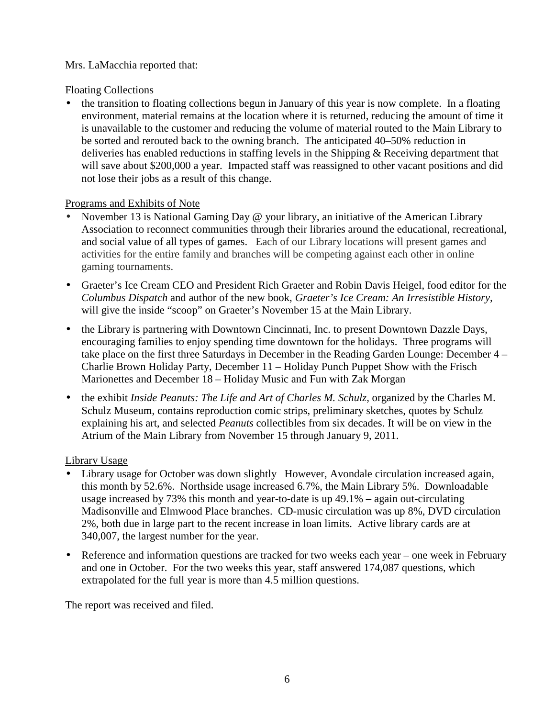## Mrs. LaMacchia reported that:

#### Floating Collections

• the transition to floating collections begun in January of this year is now complete. In a floating environment, material remains at the location where it is returned, reducing the amount of time it is unavailable to the customer and reducing the volume of material routed to the Main Library to be sorted and rerouted back to the owning branch. The anticipated 40–50% reduction in deliveries has enabled reductions in staffing levels in the Shipping & Receiving department that will save about \$200,000 a year. Impacted staff was reassigned to other vacant positions and did not lose their jobs as a result of this change.

### Programs and Exhibits of Note

- November 13 is National Gaming Day @ your library, an initiative of the American Library Association to reconnect communities through their libraries around the educational, recreational, and social value of all types of games. Each of our Library locations will present games and activities for the entire family and branches will be competing against each other in online gaming tournaments.
- Graeter's Ice Cream CEO and President Rich Graeter and Robin Davis Heigel, food editor for the *Columbus Dispatch* and author of the new book, *Graeter's Ice Cream: An Irresistible History,* will give the inside "scoop" on Graeter's November 15 at the Main Library.
- the Library is partnering with Downtown Cincinnati, Inc. to present Downtown Dazzle Days, encouraging families to enjoy spending time downtown for the holidays. Three programs will take place on the first three Saturdays in December in the Reading Garden Lounge: December 4 – Charlie Brown Holiday Party, December 11 – Holiday Punch Puppet Show with the Frisch Marionettes and December 18 – Holiday Music and Fun with Zak Morgan
- the exhibit *Inside Peanuts: The Life and Art of Charles M. Schulz*, organized by the Charles M. Schulz Museum, contains reproduction comic strips, preliminary sketches, quotes by Schulz explaining his art, and selected *Peanuts* collectibles from six decades. It will be on view in the Atrium of the Main Library from November 15 through January 9, 2011.

### Library Usage

- Library usage for October was down slightly However, Avondale circulation increased again, this month by 52.6%. Northside usage increased 6.7%, the Main Library 5%. Downloadable usage increased by 73% this month and year-to-date is up 49.1% **–** again out-circulating Madisonville and Elmwood Place branches. CD-music circulation was up 8%, DVD circulation 2%, both due in large part to the recent increase in loan limits. Active library cards are at 340,007, the largest number for the year.
- Reference and information questions are tracked for two weeks each year one week in February and one in October. For the two weeks this year, staff answered 174,087 questions, which extrapolated for the full year is more than 4.5 million questions.

The report was received and filed.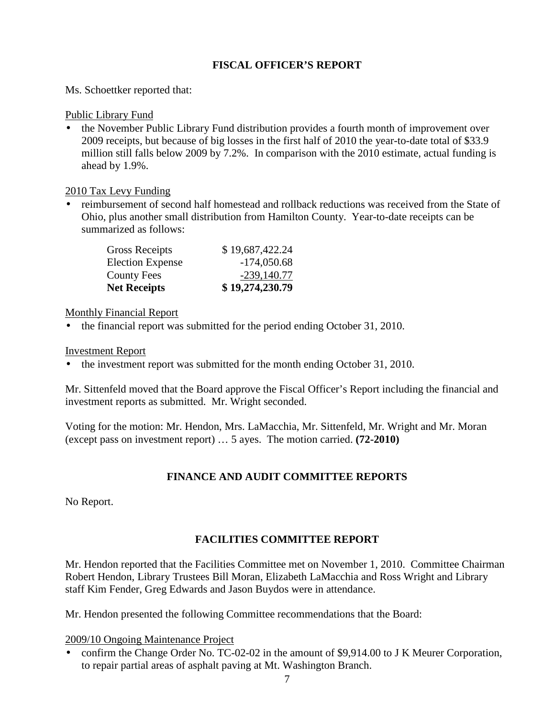## **FISCAL OFFICER'S REPORT**

Ms. Schoettker reported that:

#### Public Library Fund

• the November Public Library Fund distribution provides a fourth month of improvement over 2009 receipts, but because of big losses in the first half of 2010 the year-to-date total of \$33.9 million still falls below 2009 by 7.2%. In comparison with the 2010 estimate, actual funding is ahead by 1.9%.

#### 2010 Tax Levy Funding

• reimbursement of second half homestead and rollback reductions was received from the State of Ohio, plus another small distribution from Hamilton County. Year-to-date receipts can be summarized as follows:

| <b>Net Receipts</b>     | \$19,274,230.79 |
|-------------------------|-----------------|
| <b>County Fees</b>      | $-239,140.77$   |
| <b>Election Expense</b> | $-174,050.68$   |
| <b>Gross Receipts</b>   | \$19,687,422.24 |

### Monthly Financial Report

• the financial report was submitted for the period ending October 31, 2010.

#### Investment Report

• the investment report was submitted for the month ending October 31, 2010.

Mr. Sittenfeld moved that the Board approve the Fiscal Officer's Report including the financial and investment reports as submitted. Mr. Wright seconded.

Voting for the motion: Mr. Hendon, Mrs. LaMacchia, Mr. Sittenfeld, Mr. Wright and Mr. Moran (except pass on investment report) … 5 ayes. The motion carried. **(72-2010)**

### **FINANCE AND AUDIT COMMITTEE REPORTS**

No Report.

# **FACILITIES COMMITTEE REPORT**

Mr. Hendon reported that the Facilities Committee met on November 1, 2010. Committee Chairman Robert Hendon, Library Trustees Bill Moran, Elizabeth LaMacchia and Ross Wright and Library staff Kim Fender, Greg Edwards and Jason Buydos were in attendance.

Mr. Hendon presented the following Committee recommendations that the Board:

#### 2009/10 Ongoing Maintenance Project

• confirm the Change Order No. TC-02-02 in the amount of \$9,914.00 to J K Meurer Corporation, to repair partial areas of asphalt paving at Mt. Washington Branch.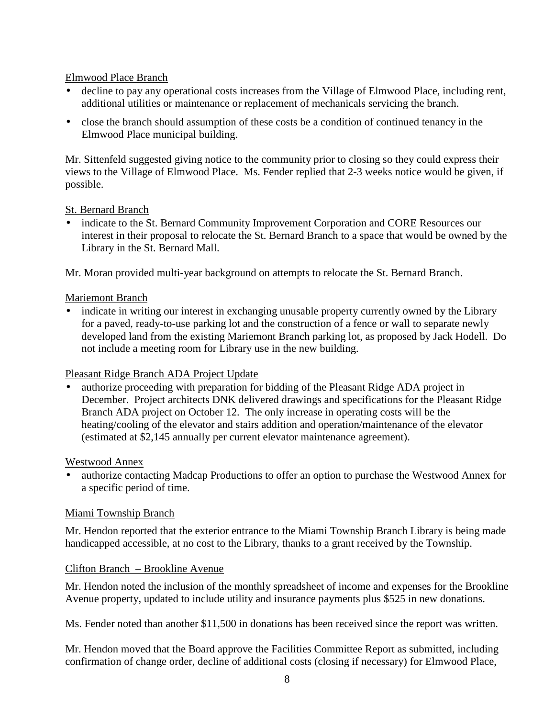## Elmwood Place Branch

- decline to pay any operational costs increases from the Village of Elmwood Place, including rent, additional utilities or maintenance or replacement of mechanicals servicing the branch.
- close the branch should assumption of these costs be a condition of continued tenancy in the Elmwood Place municipal building.

Mr. Sittenfeld suggested giving notice to the community prior to closing so they could express their views to the Village of Elmwood Place. Ms. Fender replied that 2-3 weeks notice would be given, if possible.

### St. Bernard Branch

• indicate to the St. Bernard Community Improvement Corporation and CORE Resources our interest in their proposal to relocate the St. Bernard Branch to a space that would be owned by the Library in the St. Bernard Mall.

Mr. Moran provided multi-year background on attempts to relocate the St. Bernard Branch.

#### Mariemont Branch

• indicate in writing our interest in exchanging unusable property currently owned by the Library for a paved, ready-to-use parking lot and the construction of a fence or wall to separate newly developed land from the existing Mariemont Branch parking lot, as proposed by Jack Hodell. Do not include a meeting room for Library use in the new building.

### Pleasant Ridge Branch ADA Project Update

• authorize proceeding with preparation for bidding of the Pleasant Ridge ADA project in December. Project architects DNK delivered drawings and specifications for the Pleasant Ridge Branch ADA project on October 12. The only increase in operating costs will be the heating/cooling of the elevator and stairs addition and operation/maintenance of the elevator (estimated at \$2,145 annually per current elevator maintenance agreement).

#### Westwood Annex

• authorize contacting Madcap Productions to offer an option to purchase the Westwood Annex for a specific period of time.

#### Miami Township Branch

Mr. Hendon reported that the exterior entrance to the Miami Township Branch Library is being made handicapped accessible, at no cost to the Library, thanks to a grant received by the Township.

#### Clifton Branch – Brookline Avenue

Mr. Hendon noted the inclusion of the monthly spreadsheet of income and expenses for the Brookline Avenue property, updated to include utility and insurance payments plus \$525 in new donations.

Ms. Fender noted than another \$11,500 in donations has been received since the report was written.

Mr. Hendon moved that the Board approve the Facilities Committee Report as submitted, including confirmation of change order, decline of additional costs (closing if necessary) for Elmwood Place,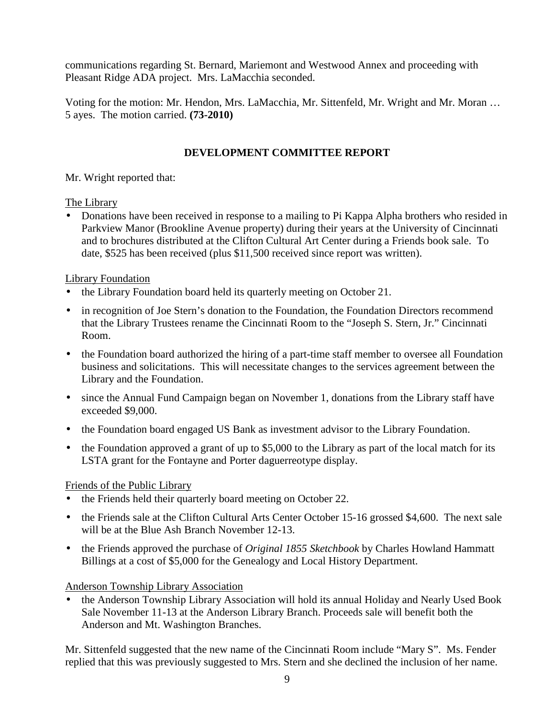communications regarding St. Bernard, Mariemont and Westwood Annex and proceeding with Pleasant Ridge ADA project. Mrs. LaMacchia seconded.

Voting for the motion: Mr. Hendon, Mrs. LaMacchia, Mr. Sittenfeld, Mr. Wright and Mr. Moran … 5 ayes. The motion carried. **(73-2010)** 

## **DEVELOPMENT COMMITTEE REPORT**

Mr. Wright reported that:

### The Library

• Donations have been received in response to a mailing to Pi Kappa Alpha brothers who resided in Parkview Manor (Brookline Avenue property) during their years at the University of Cincinnati and to brochures distributed at the Clifton Cultural Art Center during a Friends book sale. To date, \$525 has been received (plus \$11,500 received since report was written).

## Library Foundation

- the Library Foundation board held its quarterly meeting on October 21.
- in recognition of Joe Stern's donation to the Foundation, the Foundation Directors recommend that the Library Trustees rename the Cincinnati Room to the "Joseph S. Stern, Jr." Cincinnati Room.
- the Foundation board authorized the hiring of a part-time staff member to oversee all Foundation business and solicitations. This will necessitate changes to the services agreement between the Library and the Foundation.
- since the Annual Fund Campaign began on November 1, donations from the Library staff have exceeded \$9,000.
- the Foundation board engaged US Bank as investment advisor to the Library Foundation.
- the Foundation approved a grant of up to \$5,000 to the Library as part of the local match for its LSTA grant for the Fontayne and Porter daguerreotype display.

# Friends of the Public Library

- the Friends held their quarterly board meeting on October 22.
- the Friends sale at the Clifton Cultural Arts Center October 15-16 grossed \$4,600. The next sale will be at the Blue Ash Branch November 12-13.
- the Friends approved the purchase of *Original 1855 Sketchbook* by Charles Howland Hammatt Billings at a cost of \$5,000 for the Genealogy and Local History Department.

Anderson Township Library Association

• the Anderson Township Library Association will hold its annual Holiday and Nearly Used Book Sale November 11-13 at the Anderson Library Branch. Proceeds sale will benefit both the Anderson and Mt. Washington Branches.

Mr. Sittenfeld suggested that the new name of the Cincinnati Room include "Mary S". Ms. Fender replied that this was previously suggested to Mrs. Stern and she declined the inclusion of her name.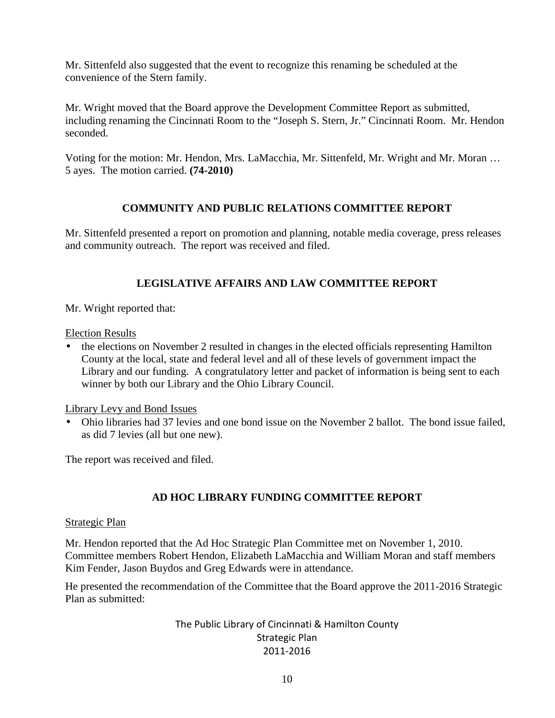Mr. Sittenfeld also suggested that the event to recognize this renaming be scheduled at the convenience of the Stern family.

Mr. Wright moved that the Board approve the Development Committee Report as submitted, including renaming the Cincinnati Room to the "Joseph S. Stern, Jr." Cincinnati Room. Mr. Hendon seconded.

Voting for the motion: Mr. Hendon, Mrs. LaMacchia, Mr. Sittenfeld, Mr. Wright and Mr. Moran … 5 ayes. The motion carried. **(74-2010)** 

### **COMMUNITY AND PUBLIC RELATIONS COMMITTEE REPORT**

Mr. Sittenfeld presented a report on promotion and planning, notable media coverage, press releases and community outreach. The report was received and filed.

## **LEGISLATIVE AFFAIRS AND LAW COMMITTEE REPORT**

Mr. Wright reported that:

Election Results

• the elections on November 2 resulted in changes in the elected officials representing Hamilton County at the local, state and federal level and all of these levels of government impact the Library and our funding. A congratulatory letter and packet of information is being sent to each winner by both our Library and the Ohio Library Council.

Library Levy and Bond Issues

• Ohio libraries had 37 levies and one bond issue on the November 2 ballot. The bond issue failed, as did 7 levies (all but one new).

The report was received and filed.

# **AD HOC LIBRARY FUNDING COMMITTEE REPORT**

#### Strategic Plan

Mr. Hendon reported that the Ad Hoc Strategic Plan Committee met on November 1, 2010. Committee members Robert Hendon, Elizabeth LaMacchia and William Moran and staff members Kim Fender, Jason Buydos and Greg Edwards were in attendance.

He presented the recommendation of the Committee that the Board approve the 2011-2016 Strategic Plan as submitted:

> The Public Library of Cincinnati & Hamilton County Strategic Plan 2011-2016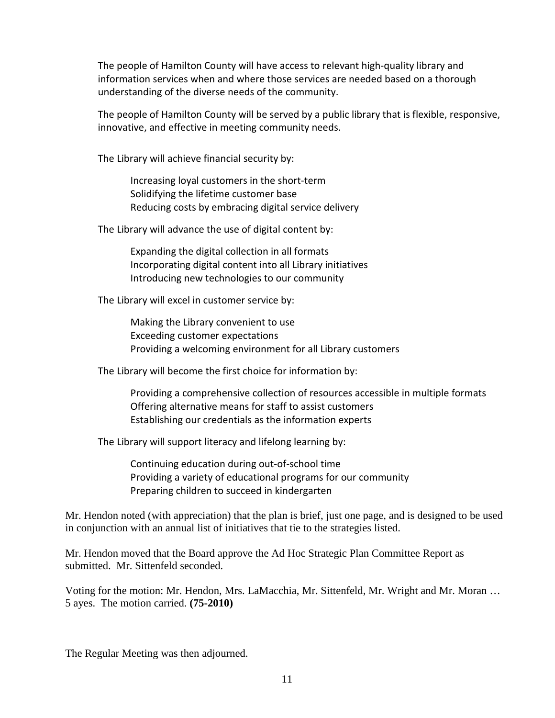The people of Hamilton County will have access to relevant high-quality library and information services when and where those services are needed based on a thorough understanding of the diverse needs of the community.

The people of Hamilton County will be served by a public library that is flexible, responsive, innovative, and effective in meeting community needs.

The Library will achieve financial security by:

Increasing loyal customers in the short-term Solidifying the lifetime customer base Reducing costs by embracing digital service delivery

The Library will advance the use of digital content by:

 Expanding the digital collection in all formats Incorporating digital content into all Library initiatives Introducing new technologies to our community

The Library will excel in customer service by:

 Making the Library convenient to use Exceeding customer expectations Providing a welcoming environment for all Library customers

The Library will become the first choice for information by:

 Providing a comprehensive collection of resources accessible in multiple formats Offering alternative means for staff to assist customers Establishing our credentials as the information experts

The Library will support literacy and lifelong learning by:

 Continuing education during out-of-school time Providing a variety of educational programs for our community Preparing children to succeed in kindergarten

Mr. Hendon noted (with appreciation) that the plan is brief, just one page, and is designed to be used in conjunction with an annual list of initiatives that tie to the strategies listed.

Mr. Hendon moved that the Board approve the Ad Hoc Strategic Plan Committee Report as submitted. Mr. Sittenfeld seconded.

Voting for the motion: Mr. Hendon, Mrs. LaMacchia, Mr. Sittenfeld, Mr. Wright and Mr. Moran … 5 ayes. The motion carried. **(75-2010)** 

The Regular Meeting was then adjourned.